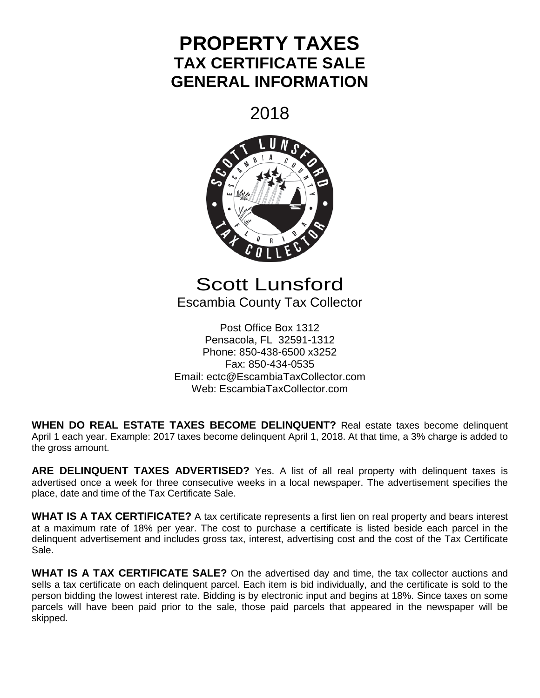# **PROPERTY TAXES TAX CERTIFICATE SALE GENERAL INFORMATION**

2018



## Scott Lunsford Escambia County Tax Collector

Post Office Box 1312 Pensacola, FL 32591-1312 Phone: 850-438-6500 x3252 Fax: 850-434-0535 Email: ectc@EscambiaTaxCollector.com Web: EscambiaTaxCollector.com

**WHEN DO REAL ESTATE TAXES BECOME DELINQUENT?** Real estate taxes become delinquent April 1 each year. Example: 2017 taxes become delinquent April 1, 2018. At that time, a 3% charge is added to the gross amount.

ARE DELINQUENT TAXES ADVERTISED? Yes. A list of all real property with delinquent taxes is advertised once a week for three consecutive weeks in a local newspaper. The advertisement specifies the place, date and time of the Tax Certificate Sale.

**WHAT IS A TAX CERTIFICATE?** A tax certificate represents a first lien on real property and bears interest at a maximum rate of 18% per year. The cost to purchase a certificate is listed beside each parcel in the delinquent advertisement and includes gross tax, interest, advertising cost and the cost of the Tax Certificate Sale.

**WHAT IS A TAX CERTIFICATE SALE?** On the advertised day and time, the tax collector auctions and sells a tax certificate on each delinquent parcel. Each item is bid individually, and the certificate is sold to the person bidding the lowest interest rate. Bidding is by electronic input and begins at 18%. Since taxes on some parcels will have been paid prior to the sale, those paid parcels that appeared in the newspaper will be skipped.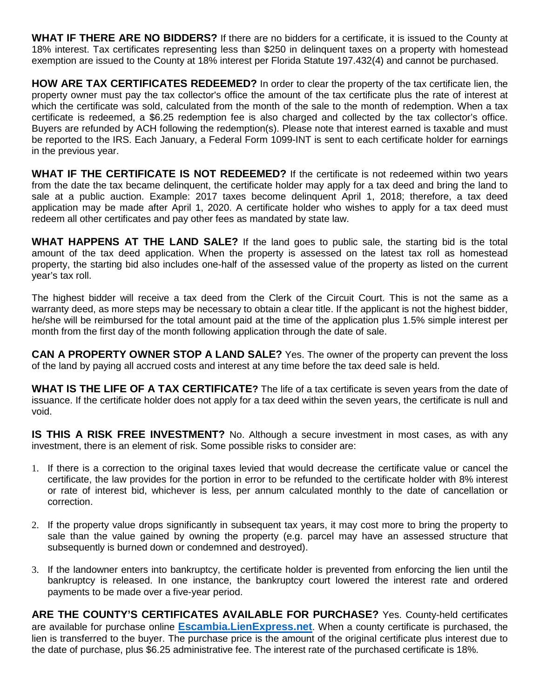**WHAT IF THERE ARE NO BIDDERS?** If there are no bidders for a certificate, it is issued to the County at 18% interest. Tax certificates representing less than \$250 in delinquent taxes on a property with homestead exemption are issued to the County at 18% interest per Florida Statute 197.432(4) and cannot be purchased.

**HOW ARE TAX CERTIFICATES REDEEMED?** In order to clear the property of the tax certificate lien, the property owner must pay the tax collector's office the amount of the tax certificate plus the rate of interest at which the certificate was sold, calculated from the month of the sale to the month of redemption. When a tax certificate is redeemed, a \$6.25 redemption fee is also charged and collected by the tax collector's office. Buyers are refunded by ACH following the redemption(s). Please note that interest earned is taxable and must be reported to the IRS. Each January, a Federal Form 1099-INT is sent to each certificate holder for earnings in the previous year.

**WHAT IF THE CERTIFICATE IS NOT REDEEMED?** If the certificate is not redeemed within two years from the date the tax became delinquent, the certificate holder may apply for a tax deed and bring the land to sale at a public auction. Example: 2017 taxes become delinquent April 1, 2018; therefore, a tax deed application may be made after April 1, 2020. A certificate holder who wishes to apply for a tax deed must redeem all other certificates and pay other fees as mandated by state law.

**WHAT HAPPENS AT THE LAND SALE?** If the land goes to public sale, the starting bid is the total amount of the tax deed application. When the property is assessed on the latest tax roll as homestead property, the starting bid also includes one-half of the assessed value of the property as listed on the current year's tax roll.

The highest bidder will receive a tax deed from the Clerk of the Circuit Court. This is not the same as a warranty deed, as more steps may be necessary to obtain a clear title. If the applicant is not the highest bidder, he/she will be reimbursed for the total amount paid at the time of the application plus 1.5% simple interest per month from the first day of the month following application through the date of sale.

**CAN A PROPERTY OWNER STOP A LAND SALE?** Yes. The owner of the property can prevent the loss of the land by paying all accrued costs and interest at any time before the tax deed sale is held.

**WHAT IS THE LIFE OF A TAX CERTIFICATE?** The life of a tax certificate is seven years from the date of issuance. If the certificate holder does not apply for a tax deed within the seven years, the certificate is null and void.

**IS THIS A RISK FREE INVESTMENT?** No. Although a secure investment in most cases, as with any investment, there is an element of risk. Some possible risks to consider are:

- 1. If there is a correction to the original taxes levied that would decrease the certificate value or cancel the certificate, the law provides for the portion in error to be refunded to the certificate holder with 8% interest or rate of interest bid, whichever is less, per annum calculated monthly to the date of cancellation or correction.
- 2. If the property value drops significantly in subsequent tax years, it may cost more to bring the property to sale than the value gained by owning the property (e.g. parcel may have an assessed structure that subsequently is burned down or condemned and destroyed).
- 3. If the landowner enters into bankruptcy, the certificate holder is prevented from enforcing the lien until the bankruptcy is released. In one instance, the bankruptcy court lowered the interest rate and ordered payments to be made over a five-year period.

**ARE THE COUNTY'S CERTIFICATES AVAILABLE FOR PURCHASE?** Yes. County-held certificates are available for purchase online **[Escambia.LienExpress.net](https://escambia.lienexpress.net/doc/overview)**. When a county certificate is purchased, the lien is transferred to the buyer. The purchase price is the amount of the original certificate plus interest due to the date of purchase, plus \$6.25 administrative fee. The interest rate of the purchased certificate is 18%.